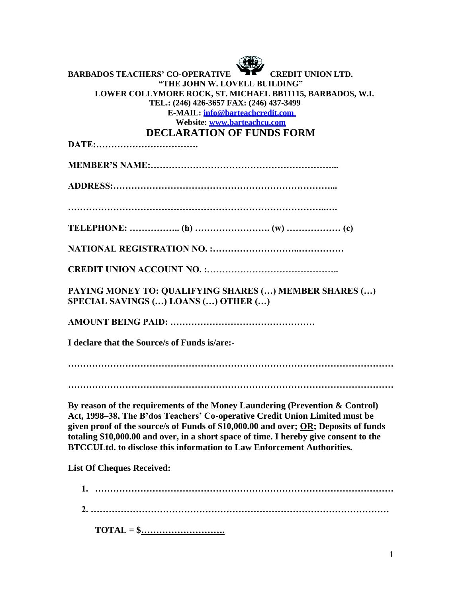| <b>BARBADOS TEACHERS' CO-OPERATIVE</b><br><b>CREDIT UNION LTD.</b><br>"THE JOHN W. LOVELL BUILDING"<br>LOWER COLLYMORE ROCK, ST. MICHAEL BB11115, BARBADOS, W.I.<br>TEL.: (246) 426-3657 FAX: (246) 437-3499<br>E-MAIL: info@barteachcredit.com<br>Website: www.barteachcu.com<br><b>DECLARATION OF FUNDS FORM</b>                                                                                                                   |
|--------------------------------------------------------------------------------------------------------------------------------------------------------------------------------------------------------------------------------------------------------------------------------------------------------------------------------------------------------------------------------------------------------------------------------------|
|                                                                                                                                                                                                                                                                                                                                                                                                                                      |
|                                                                                                                                                                                                                                                                                                                                                                                                                                      |
|                                                                                                                                                                                                                                                                                                                                                                                                                                      |
|                                                                                                                                                                                                                                                                                                                                                                                                                                      |
|                                                                                                                                                                                                                                                                                                                                                                                                                                      |
|                                                                                                                                                                                                                                                                                                                                                                                                                                      |
| PAYING MONEY TO: QUALIFYING SHARES () MEMBER SHARES ()<br><b>SPECIAL SAVINGS () LOANS () OTHER ()</b>                                                                                                                                                                                                                                                                                                                                |
|                                                                                                                                                                                                                                                                                                                                                                                                                                      |
| I declare that the Source/s of Funds is/are:-                                                                                                                                                                                                                                                                                                                                                                                        |
|                                                                                                                                                                                                                                                                                                                                                                                                                                      |
| By reason of the requirements of the Money Laundering (Prevention & Control)<br>Act, 1998-38, The B'dos Teachers' Co-operative Credit Union Limited must be<br>given proof of the source/s of Funds of \$10,000.00 and over; <u>OR</u> ; Deposits of funds<br>totaling \$10,000.00 and over, in a short space of time. I hereby give consent to the<br><b>BTCCULtd. to disclose this information to Law Enforcement Authorities.</b> |
| <b>List Of Cheques Received:</b>                                                                                                                                                                                                                                                                                                                                                                                                     |
|                                                                                                                                                                                                                                                                                                                                                                                                                                      |
|                                                                                                                                                                                                                                                                                                                                                                                                                                      |

**TOTAL = \$……………………….**